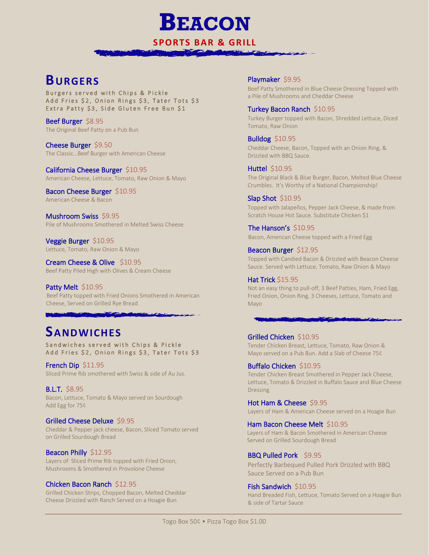**SPORTS BAR & GRILL**

**BEACON**

### **BURGERS**

Burgers served with Chips & Pickle Add Fries \$2, Onion Rings \$3, Tater Tots \$3 Extra Patty \$3, Side Gluten Free Bun \$1

Beef Burger \$8.95 The Original Beef Patty on a Pub Bun

Cheese Burger \$9.50 The Classic…Beef Burger with American Cheese

California Cheese Burger \$10.95 American Cheese, Lettuce, Tomato, Raw Onion & Mayo

Bacon Cheese Burger \$10.95 American Cheese & Bacon

Mushroom Swiss \$9.95 Pile of Mushrooms Smothered in Melted Swiss Cheese

Veggie Burger \$10.95 Lettuce, Tomato, Raw Onion & Mayo

Cream Cheese & Olive \$10.95 Beef Patty Piled High with Olives & Cream Cheese

**Contract** 

Patty Melt \$10.95 Beef Patty topped with Fried Onions Smothered in American Cheese, Served on Grilled Rye Bread

## **SANDWICHES**

Sandwiches served with Chips & Pickle Add Fries \$2, Onion Rings \$3, Tater Tots \$3

French Dip \$11.95 Sliced Prime Rib smothered with Swiss & side of Au Jus.

B.L.T. \$8.95 Bacon, Lettuce, Tomato & Mayo served on Sourdough Add Egg for 75¢

#### Grilled Cheese Deluxe \$9.95

Cheddar & Pepper jack cheese, Bacon, Sliced Tomato served on Grilled Sourdough Bread

#### Beacon Philly \$12.95

Layers of Sliced Prime Rib topped with Fried Onion, Mushrooms & Smothered in Provolone Cheese

Chicken Bacon Ranch \$12.95

Grilled Chicken Strips, Chopped Bacon, Melted Cheddar Cheese Drizzled with Ranch Served on a Hoagie Bun

Playmaker \$9.95

í

Beef Patty Smothered in Blue Cheese Dressing Topped with a Pile of Mushrooms and Cheddar Cheese

Turkey Bacon Ranch \$10.95 Turkey Burger topped with Bacon, Shredded Lettuce, Diced Tomato, Raw Onion

Bulldog \$10.95 Cheddar Cheese, Bacon, Topped with an Onion Ring, & Drizzled with BBQ Sauce.

**Huttel \$10.95** The Original Black & Blue Burger, Bacon, Melted Blue Cheese Crumbles. It's Worthy of a National Championship!

Slap Shot \$10.95 Topped with Jalapeños, Pepper Jack Cheese, & made from Scratch House Hot Sauce. Substitute Chicken \$1

The Hanson's \$10.95 Bacon, American Cheese topped with a Fried Egg

Beacon Burger \$12.95 Topped with Candied Bacon & Drizzled with Beacon Cheese Sauce. Served with Lettuce, Tomato, Raw Onion & Mayo

Hat Trick \$15.95 Not an easy thing to pull-off, 3 Beef Patties, Ham, Fried Egg, Fried Onion, Onion Ring, 3 Cheeses, Lettuce, Tomato and Mayo

#### Grilled Chicken \$10.95

Tender Chicken Breast, Lettuce, Tomato, Raw Onion & Mayo served on a Pub Bun. Add a Slab of Cheese 75¢

Buffalo Chicken \$10.95 Tender Chicken Breast Smothered in Pepper Jack Cheese, Lettuce, Tomato & Drizzled in Buffalo Sauce and Blue Cheese Dressing

Hot Ham & Cheese \$9.95 Layers of Ham & American Cheese served on a Hoagie Bun

Ham Bacon Cheese Melt \$10.95 Layers of Ham & Bacon Smothered in American Cheese Served on Grilled Sourdough Bread

BBQ Pulled Pork \$9.95 Perfectly Barbequed Pulled Pork Drizzled with BBQ Sauce Served on a Pub Bun

Fish Sandwich \$10.95 Hand Breaded Fish, Lettuce, Tomato Served on a Hoagie Bun & side of Tartar Sauce